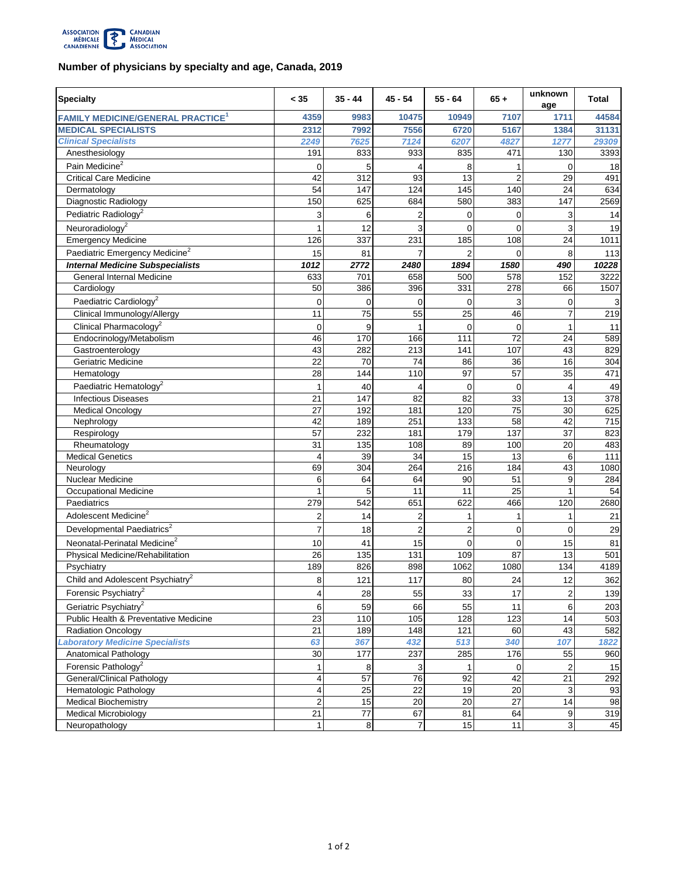

## **Number of physicians by specialty and age, Canada, 2019**

| 4359<br>9983<br>10475<br>10949<br>7107<br>1711<br>44584<br><b>FAMILY MEDICINE/GENERAL PRACTICE<sup>1</sup></b><br><b>MEDICAL SPECIALISTS</b><br>5167<br>2312<br>7992<br>7556<br>6720<br>1384<br>31131<br><b>Clinical Specialists</b><br>2249<br>7625<br>7124<br>6207<br>1277<br>29309<br>4827<br>835<br>191<br>833<br>933<br>471<br>130<br>3393<br>Anesthesiology<br>Pain Medicine <sup>2</sup><br>5<br>18<br>0<br>8<br>0<br>1<br>93<br>13<br>$\overline{2}$<br><b>Critical Care Medicine</b><br>42<br>312<br>29<br>491<br>140<br>54<br>147<br>124<br>145<br>24<br>634<br>Dermatology<br>580<br>Diagnostic Radiology<br>625<br>684<br>383<br>147<br>2569<br>150<br>Pediatric Radiology <sup>2</sup><br>$\overline{2}$<br>3<br>$\mathbf 0$<br>0<br>3<br>14<br>6<br>Neuroradiology <sup>2</sup><br>3<br>12<br>$\Omega$<br>0<br>3<br>19<br>1<br>231<br>24<br><b>Emergency Medicine</b><br>126<br>337<br>185<br>108<br>1011<br>Paediatric Emergency Medicine <sup>2</sup><br>81<br>15<br>7<br>$\overline{2}$<br>0<br>8<br>113<br>1012<br><b>Internal Medicine Subspecialists</b><br>2772<br>2480<br>1894<br>1580<br>490<br>10228<br>3222<br>633<br>701<br>658<br>500<br>578<br>152<br>General Internal Medicine<br>1507<br>50<br>386<br>396<br>331<br>278<br>66<br>Cardiology<br>Paediatric Cardiology <sup>2</sup><br>3<br>$\mathbf 0$<br>0<br>0<br>$\mathbf 0$<br>$\mathbf 0$<br>3<br>Clinical Immunology/Allergy<br>75<br>55<br>25<br>46<br>219<br>11<br>7<br>Clinical Pharmacology <sup>2</sup><br>9<br>$\mathbf 0$<br>0<br>0<br>11<br>1<br>72<br>46<br>170<br>111<br>24<br>589<br>Endocrinology/Metabolism<br>166<br>43<br>Gastroenterology<br>43<br>282<br>213<br>141<br>107<br>829<br>Geriatric Medicine<br>22<br>70<br>74<br>86<br>36<br>16<br>304<br>97<br>57<br>28<br>144<br>110<br>35<br>471<br>Hematology<br>Paediatric Hematology <sup>2</sup><br>40<br>0<br>49<br>0<br>4<br>1<br>4<br>$\overline{82}$<br>33<br>21<br>147<br>82<br>13<br><b>Infectious Diseases</b><br>378<br>$\overline{75}$<br>27<br>120<br>30<br><b>Medical Oncology</b><br>192<br>181<br>625<br>42<br>133<br>58<br>42<br>189<br>251<br>715<br>Nephrology<br>137<br>57<br>232<br>181<br>179<br>37<br>823<br>Respirology<br>31<br>135<br>108<br>20<br>483<br>Rheumatology<br>89<br>100<br><b>Medical Genetics</b><br>39<br>34<br>15<br>13<br>6<br>111<br>4<br>Neurology<br>69<br>304<br>264<br>216<br>184<br>43<br>1080<br>Nuclear Medicine<br>6<br>64<br>64<br>90<br>51<br>9<br>284<br>$\overline{25}$<br>11<br>Occupational Medicine<br>5<br>11<br>1<br>54<br>Paediatrics<br>279<br>542<br>651<br>622<br>466<br>120<br>2680<br>Adolescent Medicine <sup>2</sup><br>$\overline{2}$<br>14<br>2<br>21<br>$\mathbf{1}$<br>$\mathbf{1}$<br>1<br>Developmental Paediatrics <sup>2</sup><br>$\overline{2}$<br>0<br>$\overline{7}$<br>18<br>$\overline{c}$<br>$\Omega$<br>29<br>Neonatal-Perinatal Medicine <sup>2</sup><br>$\mathbf 0$<br>0<br>10<br>41<br>15<br>15<br>81<br>87<br>13<br>26<br>135<br>131<br>109<br>501<br>Physical Medicine/Rehabilitation<br>189<br>826<br>898<br>1062<br>134<br>4189<br>1080<br>Psychiatry<br>Child and Adolescent Psychiatry <sup>2</sup><br>117<br>12<br>362<br>8<br>121<br>80<br>24<br>Forensic Psychiatry <sup>2</sup><br>$\overline{\mathbf{c}}$<br>55<br>33<br>17<br>139<br>4<br>28<br>Geriatric Psychiatry <sup>2</sup><br>59<br>66<br>55<br>11<br>6<br>203<br>6<br>Public Health & Preventative Medicine<br>105<br>23<br>110<br>128<br>123<br>14<br>503<br>21<br>43<br>Radiation Oncology<br>189<br>148<br>121<br>60<br>582<br><b>Laboratory Medicine Specialists</b><br>432<br>513<br>107<br>1822<br>63<br>367<br>340<br>Anatomical Pathology<br>285<br>30<br>177<br>237<br>176<br>55<br>960<br>Forensic Pathology <sup>2</sup><br>8<br>3<br>0<br>$\overline{c}$<br>15<br>1<br>1<br>General/Clinical Pathology<br>57<br>76<br>42<br>92<br>21<br>4<br>292<br>25<br>22<br>19<br>20<br>3<br>93<br>Hematologic Pathology<br>4<br>14<br><b>Medical Biochemistry</b><br>$\overline{2}$<br>15<br>20<br>27<br>20<br>98<br>21<br>67<br><b>Medical Microbiology</b><br>77<br>81<br>64<br>9<br>319<br>8<br>$\overline{7}$<br>15<br>11<br>3<br>45<br>Neuropathology<br>$\mathbf{1}$ | <b>Specialty</b> | < 35 | $35 - 44$ | 45 - 54 | $55 - 64$ | $65 +$ | unknown<br>age | Total |
|-------------------------------------------------------------------------------------------------------------------------------------------------------------------------------------------------------------------------------------------------------------------------------------------------------------------------------------------------------------------------------------------------------------------------------------------------------------------------------------------------------------------------------------------------------------------------------------------------------------------------------------------------------------------------------------------------------------------------------------------------------------------------------------------------------------------------------------------------------------------------------------------------------------------------------------------------------------------------------------------------------------------------------------------------------------------------------------------------------------------------------------------------------------------------------------------------------------------------------------------------------------------------------------------------------------------------------------------------------------------------------------------------------------------------------------------------------------------------------------------------------------------------------------------------------------------------------------------------------------------------------------------------------------------------------------------------------------------------------------------------------------------------------------------------------------------------------------------------------------------------------------------------------------------------------------------------------------------------------------------------------------------------------------------------------------------------------------------------------------------------------------------------------------------------------------------------------------------------------------------------------------------------------------------------------------------------------------------------------------------------------------------------------------------------------------------------------------------------------------------------------------------------------------------------------------------------------------------------------------------------------------------------------------------------------------------------------------------------------------------------------------------------------------------------------------------------------------------------------------------------------------------------------------------------------------------------------------------------------------------------------------------------------------------------------------------------------------------------------------------------------------------------------------------------------------------------------------------------------------------------------------------------------------------------------------------------------------------------------------------------------------------------------------------------------------------------------------------------------------------------------------------------------------------------------------------------------------------------------------------------------------------------------------------------------------------------------------------------------------------------------------------------------------------------------------------------------------------------------------------------------------------------------------------------------------------------------------------------------------------------------------------------------------------------------------------------------------------------------------------------------------------------------------------------------------------|------------------|------|-----------|---------|-----------|--------|----------------|-------|
|                                                                                                                                                                                                                                                                                                                                                                                                                                                                                                                                                                                                                                                                                                                                                                                                                                                                                                                                                                                                                                                                                                                                                                                                                                                                                                                                                                                                                                                                                                                                                                                                                                                                                                                                                                                                                                                                                                                                                                                                                                                                                                                                                                                                                                                                                                                                                                                                                                                                                                                                                                                                                                                                                                                                                                                                                                                                                                                                                                                                                                                                                                                                                                                                                                                                                                                                                                                                                                                                                                                                                                                                                                                                                                                                                                                                                                                                                                                                                                                                                                                                                                                                                                                           |                  |      |           |         |           |        |                |       |
|                                                                                                                                                                                                                                                                                                                                                                                                                                                                                                                                                                                                                                                                                                                                                                                                                                                                                                                                                                                                                                                                                                                                                                                                                                                                                                                                                                                                                                                                                                                                                                                                                                                                                                                                                                                                                                                                                                                                                                                                                                                                                                                                                                                                                                                                                                                                                                                                                                                                                                                                                                                                                                                                                                                                                                                                                                                                                                                                                                                                                                                                                                                                                                                                                                                                                                                                                                                                                                                                                                                                                                                                                                                                                                                                                                                                                                                                                                                                                                                                                                                                                                                                                                                           |                  |      |           |         |           |        |                |       |
|                                                                                                                                                                                                                                                                                                                                                                                                                                                                                                                                                                                                                                                                                                                                                                                                                                                                                                                                                                                                                                                                                                                                                                                                                                                                                                                                                                                                                                                                                                                                                                                                                                                                                                                                                                                                                                                                                                                                                                                                                                                                                                                                                                                                                                                                                                                                                                                                                                                                                                                                                                                                                                                                                                                                                                                                                                                                                                                                                                                                                                                                                                                                                                                                                                                                                                                                                                                                                                                                                                                                                                                                                                                                                                                                                                                                                                                                                                                                                                                                                                                                                                                                                                                           |                  |      |           |         |           |        |                |       |
|                                                                                                                                                                                                                                                                                                                                                                                                                                                                                                                                                                                                                                                                                                                                                                                                                                                                                                                                                                                                                                                                                                                                                                                                                                                                                                                                                                                                                                                                                                                                                                                                                                                                                                                                                                                                                                                                                                                                                                                                                                                                                                                                                                                                                                                                                                                                                                                                                                                                                                                                                                                                                                                                                                                                                                                                                                                                                                                                                                                                                                                                                                                                                                                                                                                                                                                                                                                                                                                                                                                                                                                                                                                                                                                                                                                                                                                                                                                                                                                                                                                                                                                                                                                           |                  |      |           |         |           |        |                |       |
|                                                                                                                                                                                                                                                                                                                                                                                                                                                                                                                                                                                                                                                                                                                                                                                                                                                                                                                                                                                                                                                                                                                                                                                                                                                                                                                                                                                                                                                                                                                                                                                                                                                                                                                                                                                                                                                                                                                                                                                                                                                                                                                                                                                                                                                                                                                                                                                                                                                                                                                                                                                                                                                                                                                                                                                                                                                                                                                                                                                                                                                                                                                                                                                                                                                                                                                                                                                                                                                                                                                                                                                                                                                                                                                                                                                                                                                                                                                                                                                                                                                                                                                                                                                           |                  |      |           |         |           |        |                |       |
|                                                                                                                                                                                                                                                                                                                                                                                                                                                                                                                                                                                                                                                                                                                                                                                                                                                                                                                                                                                                                                                                                                                                                                                                                                                                                                                                                                                                                                                                                                                                                                                                                                                                                                                                                                                                                                                                                                                                                                                                                                                                                                                                                                                                                                                                                                                                                                                                                                                                                                                                                                                                                                                                                                                                                                                                                                                                                                                                                                                                                                                                                                                                                                                                                                                                                                                                                                                                                                                                                                                                                                                                                                                                                                                                                                                                                                                                                                                                                                                                                                                                                                                                                                                           |                  |      |           |         |           |        |                |       |
|                                                                                                                                                                                                                                                                                                                                                                                                                                                                                                                                                                                                                                                                                                                                                                                                                                                                                                                                                                                                                                                                                                                                                                                                                                                                                                                                                                                                                                                                                                                                                                                                                                                                                                                                                                                                                                                                                                                                                                                                                                                                                                                                                                                                                                                                                                                                                                                                                                                                                                                                                                                                                                                                                                                                                                                                                                                                                                                                                                                                                                                                                                                                                                                                                                                                                                                                                                                                                                                                                                                                                                                                                                                                                                                                                                                                                                                                                                                                                                                                                                                                                                                                                                                           |                  |      |           |         |           |        |                |       |
|                                                                                                                                                                                                                                                                                                                                                                                                                                                                                                                                                                                                                                                                                                                                                                                                                                                                                                                                                                                                                                                                                                                                                                                                                                                                                                                                                                                                                                                                                                                                                                                                                                                                                                                                                                                                                                                                                                                                                                                                                                                                                                                                                                                                                                                                                                                                                                                                                                                                                                                                                                                                                                                                                                                                                                                                                                                                                                                                                                                                                                                                                                                                                                                                                                                                                                                                                                                                                                                                                                                                                                                                                                                                                                                                                                                                                                                                                                                                                                                                                                                                                                                                                                                           |                  |      |           |         |           |        |                |       |
|                                                                                                                                                                                                                                                                                                                                                                                                                                                                                                                                                                                                                                                                                                                                                                                                                                                                                                                                                                                                                                                                                                                                                                                                                                                                                                                                                                                                                                                                                                                                                                                                                                                                                                                                                                                                                                                                                                                                                                                                                                                                                                                                                                                                                                                                                                                                                                                                                                                                                                                                                                                                                                                                                                                                                                                                                                                                                                                                                                                                                                                                                                                                                                                                                                                                                                                                                                                                                                                                                                                                                                                                                                                                                                                                                                                                                                                                                                                                                                                                                                                                                                                                                                                           |                  |      |           |         |           |        |                |       |
|                                                                                                                                                                                                                                                                                                                                                                                                                                                                                                                                                                                                                                                                                                                                                                                                                                                                                                                                                                                                                                                                                                                                                                                                                                                                                                                                                                                                                                                                                                                                                                                                                                                                                                                                                                                                                                                                                                                                                                                                                                                                                                                                                                                                                                                                                                                                                                                                                                                                                                                                                                                                                                                                                                                                                                                                                                                                                                                                                                                                                                                                                                                                                                                                                                                                                                                                                                                                                                                                                                                                                                                                                                                                                                                                                                                                                                                                                                                                                                                                                                                                                                                                                                                           |                  |      |           |         |           |        |                |       |
|                                                                                                                                                                                                                                                                                                                                                                                                                                                                                                                                                                                                                                                                                                                                                                                                                                                                                                                                                                                                                                                                                                                                                                                                                                                                                                                                                                                                                                                                                                                                                                                                                                                                                                                                                                                                                                                                                                                                                                                                                                                                                                                                                                                                                                                                                                                                                                                                                                                                                                                                                                                                                                                                                                                                                                                                                                                                                                                                                                                                                                                                                                                                                                                                                                                                                                                                                                                                                                                                                                                                                                                                                                                                                                                                                                                                                                                                                                                                                                                                                                                                                                                                                                                           |                  |      |           |         |           |        |                |       |
|                                                                                                                                                                                                                                                                                                                                                                                                                                                                                                                                                                                                                                                                                                                                                                                                                                                                                                                                                                                                                                                                                                                                                                                                                                                                                                                                                                                                                                                                                                                                                                                                                                                                                                                                                                                                                                                                                                                                                                                                                                                                                                                                                                                                                                                                                                                                                                                                                                                                                                                                                                                                                                                                                                                                                                                                                                                                                                                                                                                                                                                                                                                                                                                                                                                                                                                                                                                                                                                                                                                                                                                                                                                                                                                                                                                                                                                                                                                                                                                                                                                                                                                                                                                           |                  |      |           |         |           |        |                |       |
|                                                                                                                                                                                                                                                                                                                                                                                                                                                                                                                                                                                                                                                                                                                                                                                                                                                                                                                                                                                                                                                                                                                                                                                                                                                                                                                                                                                                                                                                                                                                                                                                                                                                                                                                                                                                                                                                                                                                                                                                                                                                                                                                                                                                                                                                                                                                                                                                                                                                                                                                                                                                                                                                                                                                                                                                                                                                                                                                                                                                                                                                                                                                                                                                                                                                                                                                                                                                                                                                                                                                                                                                                                                                                                                                                                                                                                                                                                                                                                                                                                                                                                                                                                                           |                  |      |           |         |           |        |                |       |
|                                                                                                                                                                                                                                                                                                                                                                                                                                                                                                                                                                                                                                                                                                                                                                                                                                                                                                                                                                                                                                                                                                                                                                                                                                                                                                                                                                                                                                                                                                                                                                                                                                                                                                                                                                                                                                                                                                                                                                                                                                                                                                                                                                                                                                                                                                                                                                                                                                                                                                                                                                                                                                                                                                                                                                                                                                                                                                                                                                                                                                                                                                                                                                                                                                                                                                                                                                                                                                                                                                                                                                                                                                                                                                                                                                                                                                                                                                                                                                                                                                                                                                                                                                                           |                  |      |           |         |           |        |                |       |
|                                                                                                                                                                                                                                                                                                                                                                                                                                                                                                                                                                                                                                                                                                                                                                                                                                                                                                                                                                                                                                                                                                                                                                                                                                                                                                                                                                                                                                                                                                                                                                                                                                                                                                                                                                                                                                                                                                                                                                                                                                                                                                                                                                                                                                                                                                                                                                                                                                                                                                                                                                                                                                                                                                                                                                                                                                                                                                                                                                                                                                                                                                                                                                                                                                                                                                                                                                                                                                                                                                                                                                                                                                                                                                                                                                                                                                                                                                                                                                                                                                                                                                                                                                                           |                  |      |           |         |           |        |                |       |
|                                                                                                                                                                                                                                                                                                                                                                                                                                                                                                                                                                                                                                                                                                                                                                                                                                                                                                                                                                                                                                                                                                                                                                                                                                                                                                                                                                                                                                                                                                                                                                                                                                                                                                                                                                                                                                                                                                                                                                                                                                                                                                                                                                                                                                                                                                                                                                                                                                                                                                                                                                                                                                                                                                                                                                                                                                                                                                                                                                                                                                                                                                                                                                                                                                                                                                                                                                                                                                                                                                                                                                                                                                                                                                                                                                                                                                                                                                                                                                                                                                                                                                                                                                                           |                  |      |           |         |           |        |                |       |
|                                                                                                                                                                                                                                                                                                                                                                                                                                                                                                                                                                                                                                                                                                                                                                                                                                                                                                                                                                                                                                                                                                                                                                                                                                                                                                                                                                                                                                                                                                                                                                                                                                                                                                                                                                                                                                                                                                                                                                                                                                                                                                                                                                                                                                                                                                                                                                                                                                                                                                                                                                                                                                                                                                                                                                                                                                                                                                                                                                                                                                                                                                                                                                                                                                                                                                                                                                                                                                                                                                                                                                                                                                                                                                                                                                                                                                                                                                                                                                                                                                                                                                                                                                                           |                  |      |           |         |           |        |                |       |
|                                                                                                                                                                                                                                                                                                                                                                                                                                                                                                                                                                                                                                                                                                                                                                                                                                                                                                                                                                                                                                                                                                                                                                                                                                                                                                                                                                                                                                                                                                                                                                                                                                                                                                                                                                                                                                                                                                                                                                                                                                                                                                                                                                                                                                                                                                                                                                                                                                                                                                                                                                                                                                                                                                                                                                                                                                                                                                                                                                                                                                                                                                                                                                                                                                                                                                                                                                                                                                                                                                                                                                                                                                                                                                                                                                                                                                                                                                                                                                                                                                                                                                                                                                                           |                  |      |           |         |           |        |                |       |
|                                                                                                                                                                                                                                                                                                                                                                                                                                                                                                                                                                                                                                                                                                                                                                                                                                                                                                                                                                                                                                                                                                                                                                                                                                                                                                                                                                                                                                                                                                                                                                                                                                                                                                                                                                                                                                                                                                                                                                                                                                                                                                                                                                                                                                                                                                                                                                                                                                                                                                                                                                                                                                                                                                                                                                                                                                                                                                                                                                                                                                                                                                                                                                                                                                                                                                                                                                                                                                                                                                                                                                                                                                                                                                                                                                                                                                                                                                                                                                                                                                                                                                                                                                                           |                  |      |           |         |           |        |                |       |
|                                                                                                                                                                                                                                                                                                                                                                                                                                                                                                                                                                                                                                                                                                                                                                                                                                                                                                                                                                                                                                                                                                                                                                                                                                                                                                                                                                                                                                                                                                                                                                                                                                                                                                                                                                                                                                                                                                                                                                                                                                                                                                                                                                                                                                                                                                                                                                                                                                                                                                                                                                                                                                                                                                                                                                                                                                                                                                                                                                                                                                                                                                                                                                                                                                                                                                                                                                                                                                                                                                                                                                                                                                                                                                                                                                                                                                                                                                                                                                                                                                                                                                                                                                                           |                  |      |           |         |           |        |                |       |
|                                                                                                                                                                                                                                                                                                                                                                                                                                                                                                                                                                                                                                                                                                                                                                                                                                                                                                                                                                                                                                                                                                                                                                                                                                                                                                                                                                                                                                                                                                                                                                                                                                                                                                                                                                                                                                                                                                                                                                                                                                                                                                                                                                                                                                                                                                                                                                                                                                                                                                                                                                                                                                                                                                                                                                                                                                                                                                                                                                                                                                                                                                                                                                                                                                                                                                                                                                                                                                                                                                                                                                                                                                                                                                                                                                                                                                                                                                                                                                                                                                                                                                                                                                                           |                  |      |           |         |           |        |                |       |
|                                                                                                                                                                                                                                                                                                                                                                                                                                                                                                                                                                                                                                                                                                                                                                                                                                                                                                                                                                                                                                                                                                                                                                                                                                                                                                                                                                                                                                                                                                                                                                                                                                                                                                                                                                                                                                                                                                                                                                                                                                                                                                                                                                                                                                                                                                                                                                                                                                                                                                                                                                                                                                                                                                                                                                                                                                                                                                                                                                                                                                                                                                                                                                                                                                                                                                                                                                                                                                                                                                                                                                                                                                                                                                                                                                                                                                                                                                                                                                                                                                                                                                                                                                                           |                  |      |           |         |           |        |                |       |
|                                                                                                                                                                                                                                                                                                                                                                                                                                                                                                                                                                                                                                                                                                                                                                                                                                                                                                                                                                                                                                                                                                                                                                                                                                                                                                                                                                                                                                                                                                                                                                                                                                                                                                                                                                                                                                                                                                                                                                                                                                                                                                                                                                                                                                                                                                                                                                                                                                                                                                                                                                                                                                                                                                                                                                                                                                                                                                                                                                                                                                                                                                                                                                                                                                                                                                                                                                                                                                                                                                                                                                                                                                                                                                                                                                                                                                                                                                                                                                                                                                                                                                                                                                                           |                  |      |           |         |           |        |                |       |
|                                                                                                                                                                                                                                                                                                                                                                                                                                                                                                                                                                                                                                                                                                                                                                                                                                                                                                                                                                                                                                                                                                                                                                                                                                                                                                                                                                                                                                                                                                                                                                                                                                                                                                                                                                                                                                                                                                                                                                                                                                                                                                                                                                                                                                                                                                                                                                                                                                                                                                                                                                                                                                                                                                                                                                                                                                                                                                                                                                                                                                                                                                                                                                                                                                                                                                                                                                                                                                                                                                                                                                                                                                                                                                                                                                                                                                                                                                                                                                                                                                                                                                                                                                                           |                  |      |           |         |           |        |                |       |
|                                                                                                                                                                                                                                                                                                                                                                                                                                                                                                                                                                                                                                                                                                                                                                                                                                                                                                                                                                                                                                                                                                                                                                                                                                                                                                                                                                                                                                                                                                                                                                                                                                                                                                                                                                                                                                                                                                                                                                                                                                                                                                                                                                                                                                                                                                                                                                                                                                                                                                                                                                                                                                                                                                                                                                                                                                                                                                                                                                                                                                                                                                                                                                                                                                                                                                                                                                                                                                                                                                                                                                                                                                                                                                                                                                                                                                                                                                                                                                                                                                                                                                                                                                                           |                  |      |           |         |           |        |                |       |
|                                                                                                                                                                                                                                                                                                                                                                                                                                                                                                                                                                                                                                                                                                                                                                                                                                                                                                                                                                                                                                                                                                                                                                                                                                                                                                                                                                                                                                                                                                                                                                                                                                                                                                                                                                                                                                                                                                                                                                                                                                                                                                                                                                                                                                                                                                                                                                                                                                                                                                                                                                                                                                                                                                                                                                                                                                                                                                                                                                                                                                                                                                                                                                                                                                                                                                                                                                                                                                                                                                                                                                                                                                                                                                                                                                                                                                                                                                                                                                                                                                                                                                                                                                                           |                  |      |           |         |           |        |                |       |
|                                                                                                                                                                                                                                                                                                                                                                                                                                                                                                                                                                                                                                                                                                                                                                                                                                                                                                                                                                                                                                                                                                                                                                                                                                                                                                                                                                                                                                                                                                                                                                                                                                                                                                                                                                                                                                                                                                                                                                                                                                                                                                                                                                                                                                                                                                                                                                                                                                                                                                                                                                                                                                                                                                                                                                                                                                                                                                                                                                                                                                                                                                                                                                                                                                                                                                                                                                                                                                                                                                                                                                                                                                                                                                                                                                                                                                                                                                                                                                                                                                                                                                                                                                                           |                  |      |           |         |           |        |                |       |
|                                                                                                                                                                                                                                                                                                                                                                                                                                                                                                                                                                                                                                                                                                                                                                                                                                                                                                                                                                                                                                                                                                                                                                                                                                                                                                                                                                                                                                                                                                                                                                                                                                                                                                                                                                                                                                                                                                                                                                                                                                                                                                                                                                                                                                                                                                                                                                                                                                                                                                                                                                                                                                                                                                                                                                                                                                                                                                                                                                                                                                                                                                                                                                                                                                                                                                                                                                                                                                                                                                                                                                                                                                                                                                                                                                                                                                                                                                                                                                                                                                                                                                                                                                                           |                  |      |           |         |           |        |                |       |
|                                                                                                                                                                                                                                                                                                                                                                                                                                                                                                                                                                                                                                                                                                                                                                                                                                                                                                                                                                                                                                                                                                                                                                                                                                                                                                                                                                                                                                                                                                                                                                                                                                                                                                                                                                                                                                                                                                                                                                                                                                                                                                                                                                                                                                                                                                                                                                                                                                                                                                                                                                                                                                                                                                                                                                                                                                                                                                                                                                                                                                                                                                                                                                                                                                                                                                                                                                                                                                                                                                                                                                                                                                                                                                                                                                                                                                                                                                                                                                                                                                                                                                                                                                                           |                  |      |           |         |           |        |                |       |
|                                                                                                                                                                                                                                                                                                                                                                                                                                                                                                                                                                                                                                                                                                                                                                                                                                                                                                                                                                                                                                                                                                                                                                                                                                                                                                                                                                                                                                                                                                                                                                                                                                                                                                                                                                                                                                                                                                                                                                                                                                                                                                                                                                                                                                                                                                                                                                                                                                                                                                                                                                                                                                                                                                                                                                                                                                                                                                                                                                                                                                                                                                                                                                                                                                                                                                                                                                                                                                                                                                                                                                                                                                                                                                                                                                                                                                                                                                                                                                                                                                                                                                                                                                                           |                  |      |           |         |           |        |                |       |
|                                                                                                                                                                                                                                                                                                                                                                                                                                                                                                                                                                                                                                                                                                                                                                                                                                                                                                                                                                                                                                                                                                                                                                                                                                                                                                                                                                                                                                                                                                                                                                                                                                                                                                                                                                                                                                                                                                                                                                                                                                                                                                                                                                                                                                                                                                                                                                                                                                                                                                                                                                                                                                                                                                                                                                                                                                                                                                                                                                                                                                                                                                                                                                                                                                                                                                                                                                                                                                                                                                                                                                                                                                                                                                                                                                                                                                                                                                                                                                                                                                                                                                                                                                                           |                  |      |           |         |           |        |                |       |
|                                                                                                                                                                                                                                                                                                                                                                                                                                                                                                                                                                                                                                                                                                                                                                                                                                                                                                                                                                                                                                                                                                                                                                                                                                                                                                                                                                                                                                                                                                                                                                                                                                                                                                                                                                                                                                                                                                                                                                                                                                                                                                                                                                                                                                                                                                                                                                                                                                                                                                                                                                                                                                                                                                                                                                                                                                                                                                                                                                                                                                                                                                                                                                                                                                                                                                                                                                                                                                                                                                                                                                                                                                                                                                                                                                                                                                                                                                                                                                                                                                                                                                                                                                                           |                  |      |           |         |           |        |                |       |
|                                                                                                                                                                                                                                                                                                                                                                                                                                                                                                                                                                                                                                                                                                                                                                                                                                                                                                                                                                                                                                                                                                                                                                                                                                                                                                                                                                                                                                                                                                                                                                                                                                                                                                                                                                                                                                                                                                                                                                                                                                                                                                                                                                                                                                                                                                                                                                                                                                                                                                                                                                                                                                                                                                                                                                                                                                                                                                                                                                                                                                                                                                                                                                                                                                                                                                                                                                                                                                                                                                                                                                                                                                                                                                                                                                                                                                                                                                                                                                                                                                                                                                                                                                                           |                  |      |           |         |           |        |                |       |
|                                                                                                                                                                                                                                                                                                                                                                                                                                                                                                                                                                                                                                                                                                                                                                                                                                                                                                                                                                                                                                                                                                                                                                                                                                                                                                                                                                                                                                                                                                                                                                                                                                                                                                                                                                                                                                                                                                                                                                                                                                                                                                                                                                                                                                                                                                                                                                                                                                                                                                                                                                                                                                                                                                                                                                                                                                                                                                                                                                                                                                                                                                                                                                                                                                                                                                                                                                                                                                                                                                                                                                                                                                                                                                                                                                                                                                                                                                                                                                                                                                                                                                                                                                                           |                  |      |           |         |           |        |                |       |
|                                                                                                                                                                                                                                                                                                                                                                                                                                                                                                                                                                                                                                                                                                                                                                                                                                                                                                                                                                                                                                                                                                                                                                                                                                                                                                                                                                                                                                                                                                                                                                                                                                                                                                                                                                                                                                                                                                                                                                                                                                                                                                                                                                                                                                                                                                                                                                                                                                                                                                                                                                                                                                                                                                                                                                                                                                                                                                                                                                                                                                                                                                                                                                                                                                                                                                                                                                                                                                                                                                                                                                                                                                                                                                                                                                                                                                                                                                                                                                                                                                                                                                                                                                                           |                  |      |           |         |           |        |                |       |
|                                                                                                                                                                                                                                                                                                                                                                                                                                                                                                                                                                                                                                                                                                                                                                                                                                                                                                                                                                                                                                                                                                                                                                                                                                                                                                                                                                                                                                                                                                                                                                                                                                                                                                                                                                                                                                                                                                                                                                                                                                                                                                                                                                                                                                                                                                                                                                                                                                                                                                                                                                                                                                                                                                                                                                                                                                                                                                                                                                                                                                                                                                                                                                                                                                                                                                                                                                                                                                                                                                                                                                                                                                                                                                                                                                                                                                                                                                                                                                                                                                                                                                                                                                                           |                  |      |           |         |           |        |                |       |
|                                                                                                                                                                                                                                                                                                                                                                                                                                                                                                                                                                                                                                                                                                                                                                                                                                                                                                                                                                                                                                                                                                                                                                                                                                                                                                                                                                                                                                                                                                                                                                                                                                                                                                                                                                                                                                                                                                                                                                                                                                                                                                                                                                                                                                                                                                                                                                                                                                                                                                                                                                                                                                                                                                                                                                                                                                                                                                                                                                                                                                                                                                                                                                                                                                                                                                                                                                                                                                                                                                                                                                                                                                                                                                                                                                                                                                                                                                                                                                                                                                                                                                                                                                                           |                  |      |           |         |           |        |                |       |
|                                                                                                                                                                                                                                                                                                                                                                                                                                                                                                                                                                                                                                                                                                                                                                                                                                                                                                                                                                                                                                                                                                                                                                                                                                                                                                                                                                                                                                                                                                                                                                                                                                                                                                                                                                                                                                                                                                                                                                                                                                                                                                                                                                                                                                                                                                                                                                                                                                                                                                                                                                                                                                                                                                                                                                                                                                                                                                                                                                                                                                                                                                                                                                                                                                                                                                                                                                                                                                                                                                                                                                                                                                                                                                                                                                                                                                                                                                                                                                                                                                                                                                                                                                                           |                  |      |           |         |           |        |                |       |
|                                                                                                                                                                                                                                                                                                                                                                                                                                                                                                                                                                                                                                                                                                                                                                                                                                                                                                                                                                                                                                                                                                                                                                                                                                                                                                                                                                                                                                                                                                                                                                                                                                                                                                                                                                                                                                                                                                                                                                                                                                                                                                                                                                                                                                                                                                                                                                                                                                                                                                                                                                                                                                                                                                                                                                                                                                                                                                                                                                                                                                                                                                                                                                                                                                                                                                                                                                                                                                                                                                                                                                                                                                                                                                                                                                                                                                                                                                                                                                                                                                                                                                                                                                                           |                  |      |           |         |           |        |                |       |
|                                                                                                                                                                                                                                                                                                                                                                                                                                                                                                                                                                                                                                                                                                                                                                                                                                                                                                                                                                                                                                                                                                                                                                                                                                                                                                                                                                                                                                                                                                                                                                                                                                                                                                                                                                                                                                                                                                                                                                                                                                                                                                                                                                                                                                                                                                                                                                                                                                                                                                                                                                                                                                                                                                                                                                                                                                                                                                                                                                                                                                                                                                                                                                                                                                                                                                                                                                                                                                                                                                                                                                                                                                                                                                                                                                                                                                                                                                                                                                                                                                                                                                                                                                                           |                  |      |           |         |           |        |                |       |
|                                                                                                                                                                                                                                                                                                                                                                                                                                                                                                                                                                                                                                                                                                                                                                                                                                                                                                                                                                                                                                                                                                                                                                                                                                                                                                                                                                                                                                                                                                                                                                                                                                                                                                                                                                                                                                                                                                                                                                                                                                                                                                                                                                                                                                                                                                                                                                                                                                                                                                                                                                                                                                                                                                                                                                                                                                                                                                                                                                                                                                                                                                                                                                                                                                                                                                                                                                                                                                                                                                                                                                                                                                                                                                                                                                                                                                                                                                                                                                                                                                                                                                                                                                                           |                  |      |           |         |           |        |                |       |
|                                                                                                                                                                                                                                                                                                                                                                                                                                                                                                                                                                                                                                                                                                                                                                                                                                                                                                                                                                                                                                                                                                                                                                                                                                                                                                                                                                                                                                                                                                                                                                                                                                                                                                                                                                                                                                                                                                                                                                                                                                                                                                                                                                                                                                                                                                                                                                                                                                                                                                                                                                                                                                                                                                                                                                                                                                                                                                                                                                                                                                                                                                                                                                                                                                                                                                                                                                                                                                                                                                                                                                                                                                                                                                                                                                                                                                                                                                                                                                                                                                                                                                                                                                                           |                  |      |           |         |           |        |                |       |
|                                                                                                                                                                                                                                                                                                                                                                                                                                                                                                                                                                                                                                                                                                                                                                                                                                                                                                                                                                                                                                                                                                                                                                                                                                                                                                                                                                                                                                                                                                                                                                                                                                                                                                                                                                                                                                                                                                                                                                                                                                                                                                                                                                                                                                                                                                                                                                                                                                                                                                                                                                                                                                                                                                                                                                                                                                                                                                                                                                                                                                                                                                                                                                                                                                                                                                                                                                                                                                                                                                                                                                                                                                                                                                                                                                                                                                                                                                                                                                                                                                                                                                                                                                                           |                  |      |           |         |           |        |                |       |
|                                                                                                                                                                                                                                                                                                                                                                                                                                                                                                                                                                                                                                                                                                                                                                                                                                                                                                                                                                                                                                                                                                                                                                                                                                                                                                                                                                                                                                                                                                                                                                                                                                                                                                                                                                                                                                                                                                                                                                                                                                                                                                                                                                                                                                                                                                                                                                                                                                                                                                                                                                                                                                                                                                                                                                                                                                                                                                                                                                                                                                                                                                                                                                                                                                                                                                                                                                                                                                                                                                                                                                                                                                                                                                                                                                                                                                                                                                                                                                                                                                                                                                                                                                                           |                  |      |           |         |           |        |                |       |
|                                                                                                                                                                                                                                                                                                                                                                                                                                                                                                                                                                                                                                                                                                                                                                                                                                                                                                                                                                                                                                                                                                                                                                                                                                                                                                                                                                                                                                                                                                                                                                                                                                                                                                                                                                                                                                                                                                                                                                                                                                                                                                                                                                                                                                                                                                                                                                                                                                                                                                                                                                                                                                                                                                                                                                                                                                                                                                                                                                                                                                                                                                                                                                                                                                                                                                                                                                                                                                                                                                                                                                                                                                                                                                                                                                                                                                                                                                                                                                                                                                                                                                                                                                                           |                  |      |           |         |           |        |                |       |
|                                                                                                                                                                                                                                                                                                                                                                                                                                                                                                                                                                                                                                                                                                                                                                                                                                                                                                                                                                                                                                                                                                                                                                                                                                                                                                                                                                                                                                                                                                                                                                                                                                                                                                                                                                                                                                                                                                                                                                                                                                                                                                                                                                                                                                                                                                                                                                                                                                                                                                                                                                                                                                                                                                                                                                                                                                                                                                                                                                                                                                                                                                                                                                                                                                                                                                                                                                                                                                                                                                                                                                                                                                                                                                                                                                                                                                                                                                                                                                                                                                                                                                                                                                                           |                  |      |           |         |           |        |                |       |
|                                                                                                                                                                                                                                                                                                                                                                                                                                                                                                                                                                                                                                                                                                                                                                                                                                                                                                                                                                                                                                                                                                                                                                                                                                                                                                                                                                                                                                                                                                                                                                                                                                                                                                                                                                                                                                                                                                                                                                                                                                                                                                                                                                                                                                                                                                                                                                                                                                                                                                                                                                                                                                                                                                                                                                                                                                                                                                                                                                                                                                                                                                                                                                                                                                                                                                                                                                                                                                                                                                                                                                                                                                                                                                                                                                                                                                                                                                                                                                                                                                                                                                                                                                                           |                  |      |           |         |           |        |                |       |
|                                                                                                                                                                                                                                                                                                                                                                                                                                                                                                                                                                                                                                                                                                                                                                                                                                                                                                                                                                                                                                                                                                                                                                                                                                                                                                                                                                                                                                                                                                                                                                                                                                                                                                                                                                                                                                                                                                                                                                                                                                                                                                                                                                                                                                                                                                                                                                                                                                                                                                                                                                                                                                                                                                                                                                                                                                                                                                                                                                                                                                                                                                                                                                                                                                                                                                                                                                                                                                                                                                                                                                                                                                                                                                                                                                                                                                                                                                                                                                                                                                                                                                                                                                                           |                  |      |           |         |           |        |                |       |
|                                                                                                                                                                                                                                                                                                                                                                                                                                                                                                                                                                                                                                                                                                                                                                                                                                                                                                                                                                                                                                                                                                                                                                                                                                                                                                                                                                                                                                                                                                                                                                                                                                                                                                                                                                                                                                                                                                                                                                                                                                                                                                                                                                                                                                                                                                                                                                                                                                                                                                                                                                                                                                                                                                                                                                                                                                                                                                                                                                                                                                                                                                                                                                                                                                                                                                                                                                                                                                                                                                                                                                                                                                                                                                                                                                                                                                                                                                                                                                                                                                                                                                                                                                                           |                  |      |           |         |           |        |                |       |
|                                                                                                                                                                                                                                                                                                                                                                                                                                                                                                                                                                                                                                                                                                                                                                                                                                                                                                                                                                                                                                                                                                                                                                                                                                                                                                                                                                                                                                                                                                                                                                                                                                                                                                                                                                                                                                                                                                                                                                                                                                                                                                                                                                                                                                                                                                                                                                                                                                                                                                                                                                                                                                                                                                                                                                                                                                                                                                                                                                                                                                                                                                                                                                                                                                                                                                                                                                                                                                                                                                                                                                                                                                                                                                                                                                                                                                                                                                                                                                                                                                                                                                                                                                                           |                  |      |           |         |           |        |                |       |
|                                                                                                                                                                                                                                                                                                                                                                                                                                                                                                                                                                                                                                                                                                                                                                                                                                                                                                                                                                                                                                                                                                                                                                                                                                                                                                                                                                                                                                                                                                                                                                                                                                                                                                                                                                                                                                                                                                                                                                                                                                                                                                                                                                                                                                                                                                                                                                                                                                                                                                                                                                                                                                                                                                                                                                                                                                                                                                                                                                                                                                                                                                                                                                                                                                                                                                                                                                                                                                                                                                                                                                                                                                                                                                                                                                                                                                                                                                                                                                                                                                                                                                                                                                                           |                  |      |           |         |           |        |                |       |